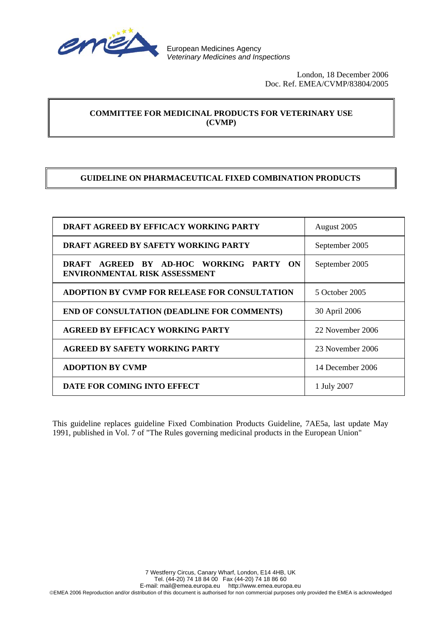

 London, 18 December 2006 Doc. Ref. EMEA/CVMP/83804/2005

# **COMMITTEE FOR MEDICINAL PRODUCTS FOR VETERINARY USE (CVMP)**

## **GUIDELINE ON PHARMACEUTICAL FIXED COMBINATION PRODUCTS**

| <b>DRAFT AGREED BY EFFICACY WORKING PARTY</b>                                   | August 2005      |
|---------------------------------------------------------------------------------|------------------|
| <b>DRAFT AGREED BY SAFETY WORKING PARTY</b>                                     | September 2005   |
| DRAFT AGREED BY AD-HOC WORKING PARTY ON<br><b>ENVIRONMENTAL RISK ASSESSMENT</b> | September 2005   |
| ADOPTION BY CVMP FOR RELEASE FOR CONSULTATION                                   | 5 October 2005   |
| <b>END OF CONSULTATION (DEADLINE FOR COMMENTS)</b>                              | 30 April 2006    |
| <b>AGREED BY EFFICACY WORKING PARTY</b>                                         | 22 November 2006 |
| <b>AGREED BY SAFETY WORKING PARTY</b>                                           | 23 November 2006 |
| <b>ADOPTION BY CVMP</b>                                                         | 14 December 2006 |
| DATE FOR COMING INTO EFFECT                                                     | 1 July 2007      |

This guideline replaces guideline Fixed Combination Products Guideline, 7AE5a, last update May 1991, published in Vol. 7 of "The Rules governing medicinal products in the European Union"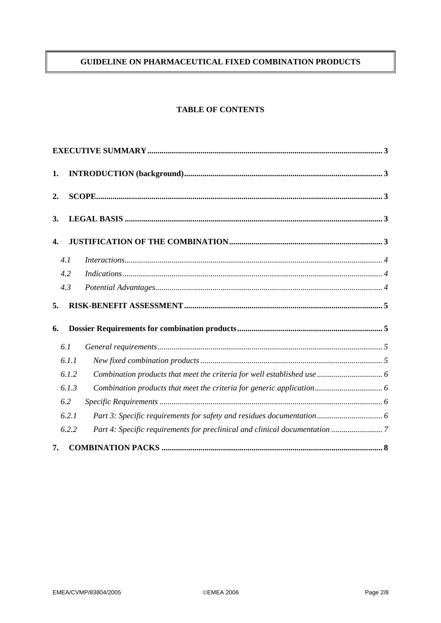# GUIDELINE ON PHARMACEUTICAL FIXED COMBINATION PRODUCTS

## **TABLE OF CONTENTS**

| 1.  |       |                                                                            |  |
|-----|-------|----------------------------------------------------------------------------|--|
| 2.  |       |                                                                            |  |
| 3.  |       |                                                                            |  |
| 4.  |       |                                                                            |  |
| 4.1 |       |                                                                            |  |
| 4.2 |       |                                                                            |  |
| 4.3 |       |                                                                            |  |
| 5.  |       |                                                                            |  |
| 6.  |       |                                                                            |  |
| 6.1 |       |                                                                            |  |
|     | 6.1.1 |                                                                            |  |
|     | 6.1.2 |                                                                            |  |
|     | 6.1.3 |                                                                            |  |
| 6.2 |       |                                                                            |  |
|     | 6.2.1 |                                                                            |  |
|     | 6.2.2 | Part 4: Specific requirements for preclinical and clinical documentation 7 |  |
| 7.  |       |                                                                            |  |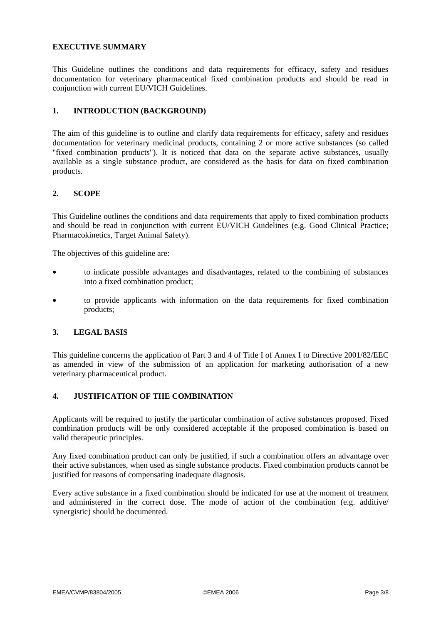### **EXECUTIVE SUMMARY**

This Guideline outlines the conditions and data requirements for efficacy, safety and residues documentation for veterinary pharmaceutical fixed combination products and should be read in conjunction with current EU/VICH Guidelines.

## **1. INTRODUCTION (BACKGROUND)**

The aim of this guideline is to outline and clarify data requirements for efficacy, safety and residues documentation for veterinary medicinal products, containing 2 or more active substances (so called "fixed combination products"). It is noticed that data on the separate active substances, usually available as a single substance product, are considered as the basis for data on fixed combination products.

### **2. SCOPE**

This Guideline outlines the conditions and data requirements that apply to fixed combination products and should be read in conjunction with current EU/VICH Guidelines (e.g. Good Clinical Practice; Pharmacokinetics, Target Animal Safety).

The objectives of this guideline are:

- to indicate possible advantages and disadvantages, related to the combining of substances into a fixed combination product;
- to provide applicants with information on the data requirements for fixed combination products;

### **3. LEGAL BASIS**

This guideline concerns the application of Part 3 and 4 of Title I of Annex I to Directive 2001/82/EEC as amended in view of the submission of an application for marketing authorisation of a new veterinary pharmaceutical product.

### **4. JUSTIFICATION OF THE COMBINATION**

Applicants will be required to justify the particular combination of active substances proposed. Fixed combination products will be only considered acceptable if the proposed combination is based on valid therapeutic principles.

Any fixed combination product can only be justified, if such a combination offers an advantage over their active substances, when used as single substance products. Fixed combination products cannot be justified for reasons of compensating inadequate diagnosis.

Every active substance in a fixed combination should be indicated for use at the moment of treatment and administered in the correct dose. The mode of action of the combination (e.g. additive/ synergistic) should be documented.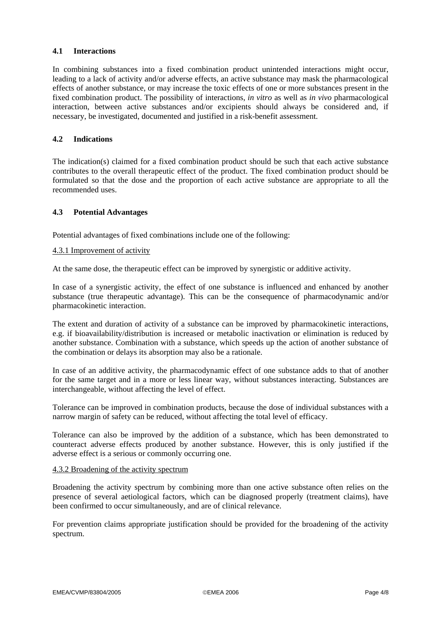## **4.1 Interactions**

In combining substances into a fixed combination product unintended interactions might occur, leading to a lack of activity and/or adverse effects, an active substance may mask the pharmacological effects of another substance, or may increase the toxic effects of one or more substances present in the fixed combination product. The possibility of interactions, *in vitro* as well as *in vivo* pharmacological interaction, between active substances and/or excipients should always be considered and, if necessary, be investigated, documented and justified in a risk-benefit assessment.

## **4.2 Indications**

The indication(s) claimed for a fixed combination product should be such that each active substance contributes to the overall therapeutic effect of the product. The fixed combination product should be formulated so that the dose and the proportion of each active substance are appropriate to all the recommended uses.

### **4.3 Potential Advantages**

Potential advantages of fixed combinations include one of the following:

### 4.3.1 Improvement of activity

At the same dose, the therapeutic effect can be improved by synergistic or additive activity.

In case of a synergistic activity, the effect of one substance is influenced and enhanced by another substance (true therapeutic advantage). This can be the consequence of pharmacodynamic and/or pharmacokinetic interaction.

The extent and duration of activity of a substance can be improved by pharmacokinetic interactions, e.g. if bioavailability/distribution is increased or metabolic inactivation or elimination is reduced by another substance. Combination with a substance, which speeds up the action of another substance of the combination or delays its absorption may also be a rationale.

In case of an additive activity, the pharmacodynamic effect of one substance adds to that of another for the same target and in a more or less linear way, without substances interacting. Substances are interchangeable, without affecting the level of effect.

Tolerance can be improved in combination products, because the dose of individual substances with a narrow margin of safety can be reduced, without affecting the total level of efficacy.

Tolerance can also be improved by the addition of a substance, which has been demonstrated to counteract adverse effects produced by another substance. However, this is only justified if the adverse effect is a serious or commonly occurring one.

### 4.3.2 Broadening of the activity spectrum

Broadening the activity spectrum by combining more than one active substance often relies on the presence of several aetiological factors, which can be diagnosed properly (treatment claims), have been confirmed to occur simultaneously, and are of clinical relevance.

For prevention claims appropriate justification should be provided for the broadening of the activity spectrum.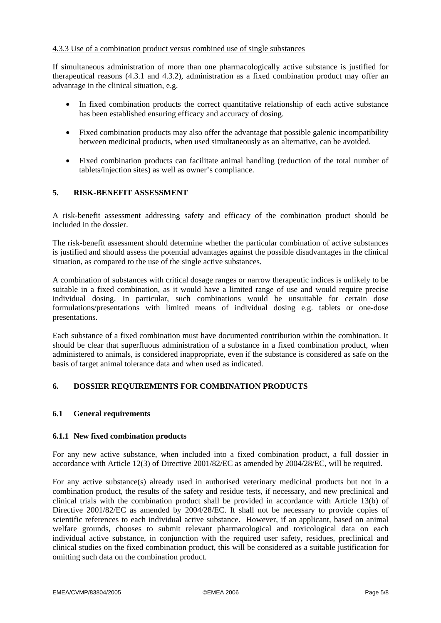### 4.3.3 Use of a combination product versus combined use of single substances

If simultaneous administration of more than one pharmacologically active substance is justified for therapeutical reasons (4.3.1 and 4.3.2), administration as a fixed combination product may offer an advantage in the clinical situation, e.g.

- In fixed combination products the correct quantitative relationship of each active substance has been established ensuring efficacy and accuracy of dosing.
- Fixed combination products may also offer the advantage that possible galenic incompatibility between medicinal products, when used simultaneously as an alternative, can be avoided.
- Fixed combination products can facilitate animal handling (reduction of the total number of tablets/injection sites) as well as owner's compliance.

## **5. RISK-BENEFIT ASSESSMENT**

A risk-benefit assessment addressing safety and efficacy of the combination product should be included in the dossier.

The risk-benefit assessment should determine whether the particular combination of active substances is justified and should assess the potential advantages against the possible disadvantages in the clinical situation, as compared to the use of the single active substances.

A combination of substances with critical dosage ranges or narrow therapeutic indices is unlikely to be suitable in a fixed combination, as it would have a limited range of use and would require precise individual dosing. In particular, such combinations would be unsuitable for certain dose formulations/presentations with limited means of individual dosing e.g. tablets or one-dose presentations.

Each substance of a fixed combination must have documented contribution within the combination. It should be clear that superfluous administration of a substance in a fixed combination product, when administered to animals, is considered inappropriate, even if the substance is considered as safe on the basis of target animal tolerance data and when used as indicated.

## **6. DOSSIER REQUIREMENTS FOR COMBINATION PRODUCTS**

### **6.1 General requirements**

#### **6.1.1 New fixed combination products**

For any new active substance, when included into a fixed combination product, a full dossier in accordance with Article 12(3) of Directive 2001/82/EC as amended by 2004/28/EC, will be required.

For any active substance(s) already used in authorised veterinary medicinal products but not in a combination product, the results of the safety and residue tests, if necessary, and new preclinical and clinical trials with the combination product shall be provided in accordance with Article 13(b) of Directive 2001/82/EC as amended by 2004/28/EC. It shall not be necessary to provide copies of scientific references to each individual active substance. However, if an applicant, based on animal welfare grounds, chooses to submit relevant pharmacological and toxicological data on each individual active substance, in conjunction with the required user safety, residues, preclinical and clinical studies on the fixed combination product, this will be considered as a suitable justification for omitting such data on the combination product.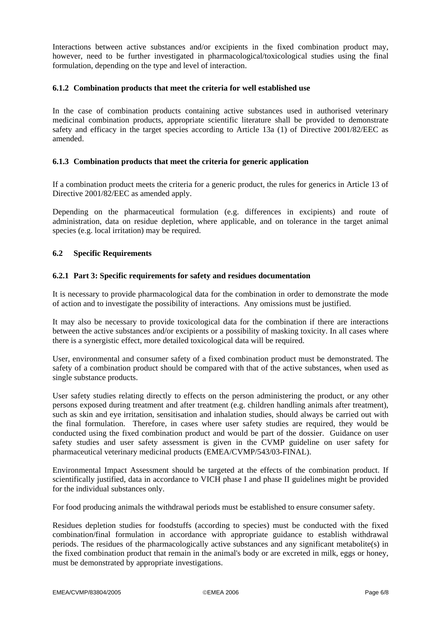Interactions between active substances and/or excipients in the fixed combination product may, however, need to be further investigated in pharmacological/toxicological studies using the final formulation, depending on the type and level of interaction.

### **6.1.2 Combination products that meet the criteria for well established use**

In the case of combination products containing active substances used in authorised veterinary medicinal combination products, appropriate scientific literature shall be provided to demonstrate safety and efficacy in the target species according to Article 13a (1) of Directive 2001/82/EEC as amended.

### **6.1.3 Combination products that meet the criteria for generic application**

If a combination product meets the criteria for a generic product, the rules for generics in Article 13 of Directive 2001/82/EEC as amended apply.

Depending on the pharmaceutical formulation (e.g. differences in excipients) and route of administration, data on residue depletion, where applicable, and on tolerance in the target animal species (e.g. local irritation) may be required.

### **6.2 Specific Requirements**

### **6.2.1 Part 3: Specific requirements for safety and residues documentation**

It is necessary to provide pharmacological data for the combination in order to demonstrate the mode of action and to investigate the possibility of interactions. Any omissions must be justified.

It may also be necessary to provide toxicological data for the combination if there are interactions between the active substances and/or excipients or a possibility of masking toxicity. In all cases where there is a synergistic effect, more detailed toxicological data will be required.

User, environmental and consumer safety of a fixed combination product must be demonstrated. The safety of a combination product should be compared with that of the active substances, when used as single substance products.

User safety studies relating directly to effects on the person administering the product, or any other persons exposed during treatment and after treatment (e.g. children handling animals after treatment), such as skin and eye irritation, sensitisation and inhalation studies, should always be carried out with the final formulation. Therefore, in cases where user safety studies are required, they would be conducted using the fixed combination product and would be part of the dossier. Guidance on user safety studies and user safety assessment is given in the CVMP guideline on user safety for pharmaceutical veterinary medicinal products (EMEA/CVMP/543/03-FINAL).

Environmental Impact Assessment should be targeted at the effects of the combination product. If scientifically justified, data in accordance to VICH phase I and phase II guidelines might be provided for the individual substances only.

For food producing animals the withdrawal periods must be established to ensure consumer safety.

Residues depletion studies for foodstuffs (according to species) must be conducted with the fixed combination/final formulation in accordance with appropriate guidance to establish withdrawal periods. The residues of the pharmacologically active substances and any significant metabolite(s) in the fixed combination product that remain in the animal's body or are excreted in milk, eggs or honey, must be demonstrated by appropriate investigations.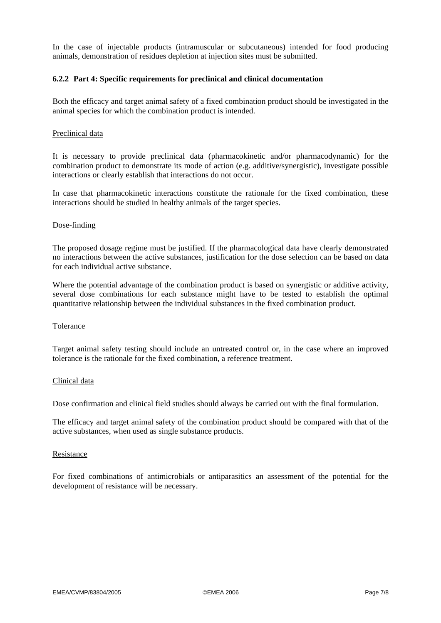In the case of injectable products (intramuscular or subcutaneous) intended for food producing animals, demonstration of residues depletion at injection sites must be submitted.

#### **6.2.2 Part 4: Specific requirements for preclinical and clinical documentation**

Both the efficacy and target animal safety of a fixed combination product should be investigated in the animal species for which the combination product is intended.

#### Preclinical data

It is necessary to provide preclinical data (pharmacokinetic and/or pharmacodynamic) for the combination product to demonstrate its mode of action (e.g. additive/synergistic), investigate possible interactions or clearly establish that interactions do not occur.

In case that pharmacokinetic interactions constitute the rationale for the fixed combination, these interactions should be studied in healthy animals of the target species.

#### Dose-finding

The proposed dosage regime must be justified. If the pharmacological data have clearly demonstrated no interactions between the active substances, justification for the dose selection can be based on data for each individual active substance.

Where the potential advantage of the combination product is based on synergistic or additive activity, several dose combinations for each substance might have to be tested to establish the optimal quantitative relationship between the individual substances in the fixed combination product.

#### Tolerance

Target animal safety testing should include an untreated control or, in the case where an improved tolerance is the rationale for the fixed combination, a reference treatment.

#### Clinical data

Dose confirmation and clinical field studies should always be carried out with the final formulation.

The efficacy and target animal safety of the combination product should be compared with that of the active substances, when used as single substance products.

#### Resistance

For fixed combinations of antimicrobials or antiparasitics an assessment of the potential for the development of resistance will be necessary.